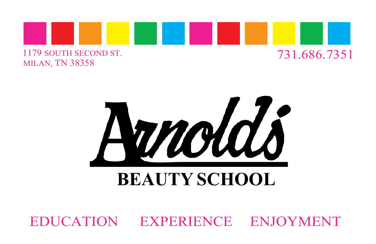



## **BEAUTY SCHOOL**

EDUCATION EXPERIENCE ENJOYMENT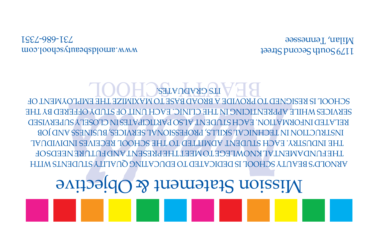# **Objective** Statement & Objective

WITH STUDENTS ARE NOT DEDICATED TO EDUCATIVE QUALITY STUDENTS WITH LHEEN AD YWEAL YN KAOMLEGE LOWEEL LHEL BEERAL YAD FULUKE AFED 20 F INDIVIDUAL EACH STUDENT ADMITTED TO THE SCHOOL RECEIVES INDUSTRY. THE JOB AND BUSINESS SERVICES, PROFESSIONAL SKILLS, TECHNICAL IN INSTRUCTION SUPERVISED CLOSELY IN PARTICIPATES ALSO STUDENT EACH INFORMATION. RELATED REKAICES MHIFE VIJAKENLICING IN LHE CFINIC' EVCH NIJLOF SLODA OFFEKED BA LHE OF EMPLOYMENT THE MAXIMIZE TO BASE BROAD A PROVIDE TO RESIGNED IS SCHOOL **ITS GRADUATES.** 

[www.arnoldsbeautyschool.com](http://www.arnoldsbeautyschool.com/) 7351 - 686 - 731

199118 puopes yn 199115 Milan, Tennessee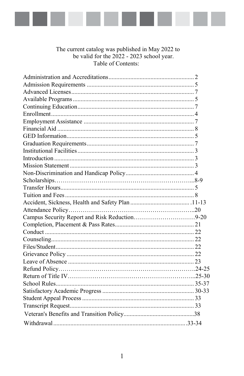

The current catalog was published in May 2022 to<br>be valid for the 2022 - 2023 school year.<br>Table of Contents:

| Campus Security Report and Risk Reduction9-20 |  |
|-----------------------------------------------|--|
|                                               |  |
|                                               |  |
|                                               |  |
|                                               |  |
|                                               |  |
|                                               |  |
|                                               |  |
|                                               |  |
|                                               |  |
|                                               |  |
|                                               |  |
|                                               |  |
|                                               |  |
|                                               |  |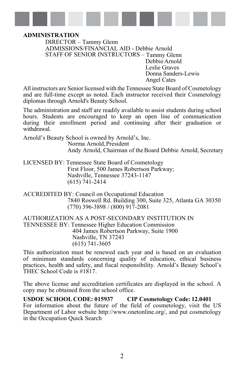

#### <span id="page-7-0"></span>**ADMINISTRATION**

DIRECTOR – Tammy Glenn ADMISSIONS/FINANCIAL AID - Debbie Arnold STAFF OF SENIOR INSTRUCTORS – Tammy Glenn Debbie Arnold Leslie Graves Donna Sanders-Lewis Angel Cates

 All instructors are Senior licensed with the Tennessee State Board of Cosmetology and are full-time except as noted. Each instructor received their Cosmetology diplomas through Arnold's Beauty School.

The administration and staff are readily available to assist students during school hours. Students are encouraged to keep an open line of communication during their enrollment period and continuing after their graduation or withdrawal.

Arnold's Beauty School is owned by Arnold's, Inc. Norma Arnold,President Andy Arnold, Chairman of the Board Debbie Arnold, Secretary

LICENSED BY: Tennessee State Board of Cosmetology First Floor, 500 James Robertson Parkway; Nashville, Tennessee 37243-1147 (615) 741-2414

ACCREDITED BY: Council on Occupational Education 7840 Roswell Rd. Building 300, Suite 325, Atlanta GA 30350 (770) 396-3898 / (800) 917-2081

AUTHORIZATION AS A POST-SECONDARY INSTITUTION IN TENNESSEE BY: Tennessee Higher Education Commission 404 James Robertson Parkway, Suite 1900 Nashville, TN 37243 (615) 741-3605

This authorization must be renewed each year and is based on an evaluation of minimum standards concerning quality of education, ethical business practices, health and safety, and fiscal responsibility. Arnold's Beauty School's THEC School Code is #1817.

The above license and accreditation certificates are displayed in the school. A copy may be obtained from the school office.

**USDOE SCHOOL CODE: 015937 CIP Cosmetology Code: 12.0401** For information about the future of the field of cosmetology, visit the US Department of Labor website [http://www.onetonline.org/,](http://www.onetonline.org/) and put cosmetology in the Occupation Quick Search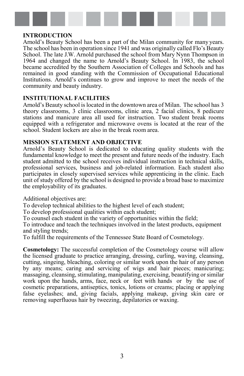

#### **INTRODUCTION**

Arnold's Beauty School has been a part of the Milan community for many years. The school has been in operation since 1941 and was originally called Flo's Beauty School. The late J.W. Arnold purchased the school from Mary Nynn Thompson in 1964 and changed the name to Arnold's Beauty School. In 1983, the school became accredited by the Southern Association of Colleges and Schools and has remained in good standing with the Commission of Occupational Educational Institutions. Arnold's continues to grow and improve to meet the needs of the community and beauty industry.

#### **INSTITUTIONAL FACILITIES**

Arnold's Beauty school islocated in the downtown area of Milan. The school has 3 theory classrooms, 3 clinic classrooms, clinic area, 2 facial clinics, 8 pedicure stations and manicure area all used for instruction. Two student break rooms equipped with a refrigerator and microwave ovens is located at the rear of the school. Student lockers are also in the break room area.

#### **MISSION STATEMENT AND OBJECTIVE**

Arnold's Beauty School is dedicated to educating quality students with the fundamental knowledge to meet the present and future needs of the industry. Each student admitted to the school receives individual instruction in technical skills, professional services, business and job-related information. Each student also participates in closely supervised services while apprenticing in the clinic. Each unit of study offered by the school is designed to provide a broad base to maximize the employability of its graduates.

Additional objectives are:

To develop technical abilities to the highest level of each student;

To develop professional qualities within each student;

To counsel each student in the variety of opportunities within the field;

To introduce and teach the techniques involved in the latest products, equipment and styling trends;

To fulfill the requirements of the Tennessee State Board of Cosmetology.

**Cosmetology:** The successful completion of the Cosmetology course will allow the licensed graduate to practice arranging, dressing, curling, waving, cleansing, cutting, singeing, bleaching, coloring or similar work upon the hair of any person by any means; caring and servicing of wigs and hair pieces; manicuring; massaging, cleansing, stimulating, manipulating, exercising, beautifying or similar work upon the hands, arms, face, neck or feet with hands or by the use of cosmetic preparations, antiseptics, tonics, lotions or creams; placing or applying false eyelashes; and, giving facials, applying makeup, giving skin care or removing superfluous hair by tweezing, depilatories or waxing.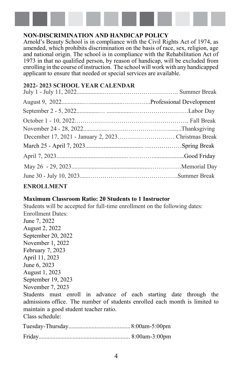

### **NON-DISCRIMINATION AND HANDICAP POLICY**

Arnold's Beauty School is in compliance with the Civil Rights Act of 1974, as amended, which prohibits discrimination on the basis of race, sex, religion, age and national origin. The school is in compliance with the Rehabilitation Act of 1973 in that no qualified person, by reason of handicap, will be excluded from enrolling in the course of instruction. The school will work with any handicapped applicant to ensure that needed or special services are available.

### **2022- 2023 SCHOOL YEAR CALENDAR**

### **ENROLLMENT**

#### **Maximum Classroom Ratio: 20 Students to 1 Instructor**

Students will be accepted for full-time enrollment on the following dates: Enrollment Dates: June 7, 2022 August 2, 2022 September 20, 2022 November 1, 2022 February 7, 2023 April 11, 2023 June 6, 2023 August 1, 2023 September 19, 2023 November 7, 2023 Students must enroll in advance of each starting date through the admissions office. The number of students enrolled each month is limited to

maintain a good student teacher ratio.

Class schedule: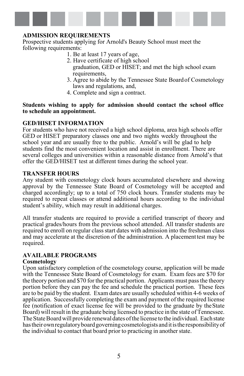

#### <span id="page-10-0"></span>**ADMISSION REQUIREMENTS**

Prospective students applying for Arnold's Beauty School must meet the following requirements:

- 1. Be at least 17 years of age,
- 2. Have certificate of high school graduation, GED or HISET; and met the high school exam requirements,
- 3. Agree to abide by the Tennessee State Boardof Cosmetology laws and regulations, and,
- 4. Complete and sign a contract.

#### **Students wishing to apply for admission should contact the school office to schedule an appointment.**

#### **GED/HISET INFORMATION**

For students who have not received a high school diploma, area high schools offer GED or HISET preparatory classes one and two nights weekly throughout the school year and are usually free to the public. Arnold's will be glad to help students find the most convenient location and assist in enrollment. There are several colleges and universities within a reasonable distance from Arnold's that offer the GED/HISET test at different times during the school year.

#### **TRANSFER HOURS**

Any student with cosmetology clock hours accumulated elsewhere and showing approval by the Tennessee State Board of Cosmetology will be accepted and charged accordingly; up to a total of 750 clock hours. Transfer students may be required to repeat classes or attend additional hours according to the individual student's ability, which may result in additional charges.

All transfer students are required to provide a certified transcript of theory and practical grades/hours from the previous school attended. All transfer students are required to enroll on regular class start dates with admission into the freshman class and may accelerate at the discretion of the administration. A placementtest may be required.

#### **AVAILABLE PROGRAMS**

#### **Cosmetology**

Upon satisfactory completion of the cosmetology course, application will be made with the Tennessee State Board of Cosmetology for exam. Exam fees are \$70 for the theory portion and \$70 for the practical portion. Applicants must passthe theory portion before they can pay the fee and schedule the practical portion. These fees are to be paid by the student. Exam dates are usually scheduled within 4-6 weeks of application. Successfully completing the exam and payment of the required license fee (notification of exact license fee will be provided to the graduate by theState Board) will result in the graduate being licensed to practice in the state of Tennessee. The State Board will provide renewal dates of the license to the individual. Each state has their own regulatory board governing cosmetologists and it is the responsibility of the individual to contact that board prior to practicing in another state.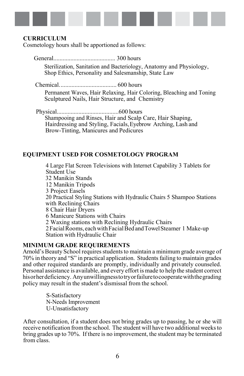

#### **CURRICULUM**

Cosmetology hours shall be apportioned as follows:

 General........................................ 300 hours Sterilization, Sanitation and Bacteriology, Anatomy and Physiology, Shop Ethics, Personality and Salesmanship, State Law

Chemical..................................... 600 hours Permanent Waves, Hair Relaxing, Hair Coloring, Bleaching and Toning Sculptured Nails, Hair Structure, and Chemistry

Physical........................................600 hours Shampooing and Rinses, Hair and Scalp Care, Hair Shaping, Hairdressing and Styling, Facials,Eyebrow Arching, Lash and Brow-Tinting, Manicures and Pedicures

### **EQUIPMENT USED FOR COSMETOLOGY PROGRAM**

4 Large Flat Screen Televisions with Internet Capability 3 Tablets for Student Use 32 Manikin Stands 12 Manikin Tripods 3 Project Easels 20 Practical Styling Stations with Hydraulic Chairs 5 Shampoo Stations with Reclining Chairs 8 Chair Hair Dryers 6 Manicure Stations with Chairs 2 Waxing stations with Reclining Hydraulic Chairs 2 Facial Rooms, each with Facial Bed and Towel Steamer 1 Make-up Station with Hydraulic Chair

#### **MINIMUM GRADE REQUIREMENTS**

Arnold's Beauty School requires students to maintain a minimum grade average of 70% in theory and "S" in practical application. Studentsfailing to maintain grades and other required standards are promptly, individually and privately counseled. Personal assistance is available, and every effort is made to help the student correct hisorherdeficiency. Anyunwillingnesstotryorfailuretocooperatewiththegrading policy may result in the student's dismissal from the school.

> S-Satisfactory N-Needs Improvement U-Unsatisfactory

After consultation, if a student does not bring grades up to passing, he or she will receive notification fromthe school. The student will have two additional weeksto bring grades up to 70%. If there is no improvement, the student may be terminated from class.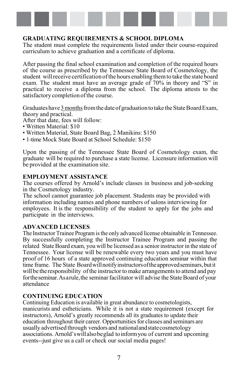

#### **GRADUATING REQUIREMENTS & SCHOOL DIPLOMA**

The student must complete the requirements listed under their course-required curriculum to achieve graduation and a certificate of diploma.

After passing the final school examination and completion of the required hours of the course as prescribed by the Tennessee State Board of Cosmetology, the student willreceive certification ofthe hours enabling themto take the state board exam. The student must have an average grade of 70% in theory and "S" in practical to receive a diploma from the school. The diploma attests to the satisfactory completion of the course.

Graduates have 3 months from the date of graduation to take the State Board Exam, theory and practical.

After that date, fees will follow:

- Written Material: \$10
- Written Material, State Board Bag, 2 Manikins: \$150
- 1-time Mock State Board at School Schedule: \$150

Upon the passing of the Tennessee State Board of Cosmetology exam, the graduate will be required to purchase a state license. Licensure information will be provided at the examination site.

#### **EMPLOYMENT ASSISTANCE**

The courses offered by Arnold's include classes in business and job-seeking in the Cosmetology industry.

The school cannot guarantee job placement. Students may be provided with information including names and phone numbers of salons interviewing for employees. It is the responsibility of the student to apply for the jobs and participate in the interviews.

#### <span id="page-12-0"></span>**ADVANCED LICENSES**

The Instructor Trainee Program is the only advanced license obtainable in Tennessee. By successfully completing the Instructor Trainee Program and passing the related State Board exam, you will be licensed as a senior instructor in the state of Tennessee. Your license will be renewable every two years and you must have proof of 16 hours of a state approved continuing education seminar within that time frame. The State Boardwillnotifyinstructorsoftheapprovedseminars,butit will be the responsibility of the instructor to make arrangements to attend and pay for the seminar. As a rule, the seminar facilitator will advise the State Board of your attendance

#### <span id="page-12-1"></span>**CONTINUING EDUCATION**

Continuing Education is available in great abundance to cosmetologists, manicurists and estheticians. While it is not a state requirement (except for instructors), Arnold's greatly recommends all its graduates to update their education throughout their career. Opportunities for classes and seminars are usually advertised through vendors and nationalandstatecosmetology associations. Arnold'swillalsobeglad toinformyou of current and upcoming events--just give us a call or check our social media pages!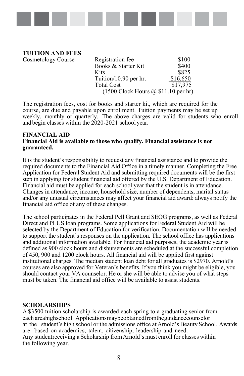

**TUITION AND FEES** Cosmetology Course

| Registration fee                    | \$100    |
|-------------------------------------|----------|
| Books & Starter Kit                 | \$400    |
| Kits                                | \$825    |
| Tuition/10.90 per hr.               | \$16,650 |
| Total Cost                          | \$17,975 |
| (1500 Clock Hours @ \$11.10 per hr) |          |

The registration fees, cost for books and starter kit, which are required for the course, are due and payable upon enrollment. Tuition payments may be set up weekly, monthly or quarterly. The above charges are valid for students who enroll and begin classes within the 2020-2021 school year.

#### <span id="page-13-0"></span>**FINANCIAL AID Financial Aid is available to those who qualify. Financial assistance is not guaranteed.**

It is the student's responsibility to request any financial assistance and to provide the required documents to the Financial Aid Office in a timely manner. Completing the Free Application for Federal Student Aid and submitting required documents will be the first step in applying for student financial aid offered by the U.S. Department of Education. Financial aid must be applied for each school year that the student is in attendance. Changes in attendance, income, household size, number of dependents, marital status and/or any unusual circumstances may affect your financial aid award: always notify the financial aid office of any of these changes.

The school participates in the Federal Pell Grant and SEOG programs, as well as Federal Direct and PLUS loan programs. Some applications for Federal Student Aid will be selected by the Department of Education for verification. Documentation will be needed to support the student's responses on the application. The school office has applications and additional information available. For financial aid purposes, the academic year is defined as 900 clock hours and disbursements are scheduled at the successful completion of 450, 900 and 1200 clock hours. All financial aid will be applied first against institutional charges. The median student loan debt for all graduates is \$2970. Arnold's courses are also approved for Veteran's benefits. If you think you might be eligible, you should contact your VA counselor. He or she will be able to advise you of what steps must be taken. The financial aid office will be available to assist students.

#### **SCHOLARSHIPS**

A \$3500 tuition scholarship is awarded each spring to a graduating senior from each areahighschool. Applicationsmaybeobtainedfromtheguidancecounselor at the student's high school or the admissions office at Arnold's Beauty School. Awards are based on academics, talent, citizenship, leadership and need. Any studentreceiving a Scholarship fromArnold's must enroll for classes within the following year.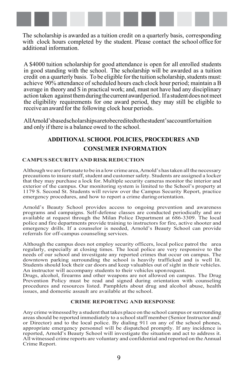

The scholarship is awarded as a tuition credit on a quarterly basis, corresponding with clock hours completed by the student. Please contact the school office for additional information.

A \$4000 tuition scholarship for good attendance is open for all enrolled students in good standing with the school. The scholarship will be awarded as a tuition credit on a quarterly basis. To be eligible for the tuition scholarship, students must: achieve 90% attendance of scheduled hours each clock hour period; maintain a B average in theory and S in practical work; and, must not have had any disciplinary action taken against them during the current award period. If a student does not meet the eligibility requirements for one award period, they may still be eligible to receive an award for the following clock hour periods.

AllArnold'sbasedscholarshipsaretobecreditedtothestudent'saccountfortuition and only if there is a balance owed to the school.

## **ADDITIONAL SCHOOL POLICIES, PROCEDURES AND CONSUMER INFORMATION**

#### <span id="page-14-0"></span>**CAMPUS SECURITYAND RISK REDUCTION**

Althoughwe are fortunate to be in a low crime area,Arnold'shastaken allthe necessary precautions to insure staff, student and customer safety. Students are assigned a locker that they may purchase a lock for. Multiple security cameras monitor the interior and exterior of the campus. Our monitoring system is limited to the School's property at 1179 S. Second St. Students will review over the Campus Security Report, practice emergency procedures, and how to report a crime duringorientation.

Arnold's Beauty School provides access to ongoing prevention and awareness programs and campaigns. Self-defense classes are conducted periodically and are available at request through the Milan Police Department at 686-3309. The local police and fire departments provide training to instructors for fire, active shooter and emergency drills. If a counselor is needed, Arnold's Beauty School can provide referrals for off-campus counseling services.

Although the campus does not employ security officers, local police patrol the area regularly, especially at closing times. The local police are very responsive to the needs of our school and investigate any reported crimes that occur on campus. The downtown parking surrounding the school is heavily trafficked and is well lit. Students should lock their car doors and keep valuables out of sight in their vehicles. An instructor will accompany students to their vehicles uponrequest.

Drugs, alcohol, firearms and other weapons are not allowed on campus. The Drug Prevention Policy must be read and signed during orientation with counseling procedures and resources listed. Pamphlets about drug and alcohol abuse, health issues, and domestic assault are available at the school.

#### **CRIME REPORTING AND RESPONSE**

Any crime witnessed by a student that takes place on the school campus orsurrounding areasshould be reported immediately to a schoolstaff member (Senior Instructor and/ or Director) and to the local police. By dialing 911 on any of the school phones, appropriate emergency personnel will be dispatched promptly. If any incidence is reported, Arnold's Beauty School will investigate the situation and act to address it. All witnessed crime reports are voluntary and confidential and reported on theAnnual Crime Report.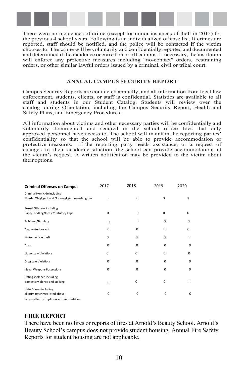

There were no incidences of crime (except for minor instances of theft in 2015) for the previous 4 school years. Following is an individualized offense list. If crimes are reported, staff should be notified, and the police will be contacted if the victim chooses to. The crime will be voluntarily and confidentially reported and documented and determined if the incidence occurred on or off campus. If necessary, the institution will enforce any protective measures including "no-contact" orders, restraining orders, or other similar lawful orders issued by a criminal, civil or tribal court.

#### **ANNUAL CAMPUS SECURITY REPORT**

Campus Security Reports are conducted annually, and all information from local law enforcement, students, clients, or staff is confidential. Statistics are available to all staff and students in our Student Catalog. Students will review over the catalog during Orientation, including the Campus Security Report, Health and Safety Plans, and Emergency Procedures.

All information about victims and other necessary parties will be confidentially and voluntarily documented and secured in the school office files that only approved personnel have access to. The school will maintain the reporting parties' confidentiality so that the school will be able to provide accommodation or protective measures. If the reporting party needs assistance, or a request of changes to their academic situation, the school can provide accommodations at the victim's request. A written notification may be provided to the victim about their options.

| <b>Criminal Offenses on Campus</b>                                                                              | 2017     | 2018        | 2019     | 2020        |
|-----------------------------------------------------------------------------------------------------------------|----------|-------------|----------|-------------|
| Criminal Homicide including<br>Murder/Negligent and Non-negligent manslaughter                                  | $\Omega$ | 0           | 0        | $\Omega$    |
| Sexual Offenses including<br>Rape/Fondling/Incest/Statutory Rape                                                | $\Omega$ | $\Omega$    | 0        | 0           |
| Robbery / Burglary                                                                                              | $\Omega$ | $\Omega$    | $\Omega$ | 0           |
| Aggravated assault                                                                                              | $\Omega$ | $\Omega$    | $\Omega$ | 0           |
| Motor vehicle theft                                                                                             | $\Omega$ | 0           | $\Omega$ | 0           |
| Arson                                                                                                           | $\Omega$ | 0           | $\Omega$ | 0           |
| Liquor Law Violations                                                                                           | 0        | 0           | $\Omega$ | 0           |
| Drug Law Violations                                                                                             | $\Omega$ | 0           | $\Omega$ | $\mathbf 0$ |
| <b>Illegal Weapons Possessions</b>                                                                              | 0        | 0           | $\Omega$ | 0           |
| Dating Violence including<br>domestic violence and stalking                                                     | $\Omega$ | 0           | $\Omega$ | 0           |
| <b>Hate Crimes including</b><br>all primary crimes listed above,<br>larceny-theft, simple assault, intimidation | 0        | $\mathbf 0$ | 0        | $\mathbf 0$ |

## **FIRE REPORT**

There have been no fires or reports of fires at Arnold's Beauty School. Arnold's Beauty School's campus does not provide student housing. Annual Fire Safety Reports for student housing are not applicable.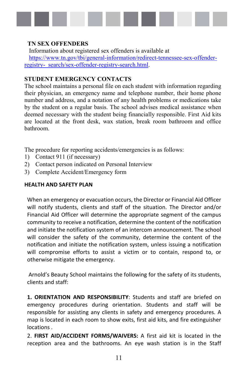

#### **TN SEX OFFENDERS**

Information about registered sex offenders is available at [https://www.tn.gov/tbi/general-information/redirect-tennessee-sex-offender](https://www.tn.gov/tbi/general-information/redirect-tennessee-sex-offender-registry-%20%20search/sex-offender-registry-search.html)[registry- search/sex-offender-registry-search.html.](https://www.tn.gov/tbi/general-information/redirect-tennessee-sex-offender-registry-%20%20search/sex-offender-registry-search.html)

#### **STUDENT EMERGENCY CONTACTS**

The school maintains a personal file on each student with information regarding their physician, an emergency name and telephone number, their home phone number and address, and a notation of any health problems or medications take by the student on a regular basis. The school advises medical assistance when deemed necessary with the student being financially responsible. First Aid kits are located at the front desk, wax station, break room bathroom and office bathroom.

The procedure for reporting accidents/emergencies is as follows:

- 1) Contact 911 (if necessary)
- 2) Contact person indicated on Personal Interview
- 3) Complete Accident/Emergency form

#### **HEALTH AND SAFFTY PLAN**

When an emergency or evacuation occurs, the Director or Financial Aid Officer will notify students, clients and staff of the situation. The Director and/or Financial Aid Officer will determine the appropriate segment of the campus community to receive a notification, determine the content of the notification and initiate the notification system of an intercom announcement. The school will consider the safety of the community, determine the content of the notification and initiate the notification system, unless issuing a notification will compromise efforts to assist a victim or to contain, respond to, or otherwise mitigate the emergency.

Arnold's Beauty School maintains the following for the safety of its students, clients and staff:

**1. ORIENTATION AND RESPONSIBILITY**: Students and staff are briefed on emergency procedures during orientation. Students and staff will be responsible for assisting any clients in safety and emergency procedures. A map is located in each room to show exits, first aid kits, and fire extinguisher locations .

2. **FIRST AID/ACCIDENT FORMS/WAIVERS:** A first aid kit is located in the reception area and the bathrooms. An eye wash station is in the Staff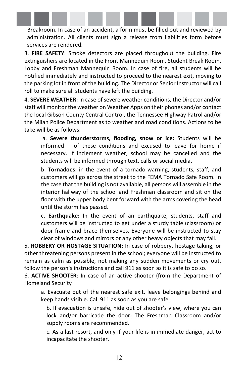Breakroom. In case of an accident, a form must be filled out and reviewed by administration. All clients must sign a release from liabilities form before services are rendered.

3. **FIRE SAFETY**: Smoke detectors are placed throughout the building. Fire extinguishers are located in the Front Mannequin Room, Student Break Room, Lobby and Freshman Mannequin Room. In case of fire, all students will be notified immediately and instructed to proceed to the nearest exit, moving to the parking lot in front of the building. The Director or Senior Instructor will call roll to make sure all students have left the building.

4. **SEVERE WEATHER:** In case of severe weather conditions, the Director and/or staff will monitor the weather on Weather Apps on their phones and/or contact the local Gibson County Central Control, the Tennessee Highway Patrol and/or the Milan Police Department as to weather and road conditions. Actions to be take will be as follows:

a. **Severe thunderstorms, flooding, snow or ice:** Students will be informed of these conditions and excused to leave for home if necessary. If inclement weather, school may be cancelled and the students will be informed through text, calls or social media.

b. **Tornadoes:** in the event of a tornado warning, students, staff, and customers will go across the street to the FEMA Tornado Safe Room. In the case that the building is not available, all persons will assemble in the interior hallway of the school and Freshman classroom and sit on the floor with the upper body bent forward with the arms covering the head until the storm has passed.

c. **Earthquake:** In the event of an earthquake, students, staff and customers will be instructed to get under a sturdy table (classroom) or door frame and brace themselves. Everyone will be instructed to stay clear of windows and mirrors or any other heavy objects that may fall.

5. **ROBBERY OR HOSTAGE SITUATION:** In case of robbery, hostage taking, or other threatening persons present in the school; everyone will be instructed to remain as calm as possible, not making any sudden movements or cry out, follow the person's instructions and call 911 as soon as it is safe to do so.

6. **ACTIVE SHOOTER**: In case of an active shooter (from the Department of Homeland Security

a. Evacuate out of the nearest safe exit, leave belongings behind and keep hands visible. Call 911 as soon as you are safe.

b. If evacuation is unsafe, hide out of shooter's view, where you can lock and/or barricade the door. The Freshman Classroom and/or supply rooms are recommended.

c. As a last resort, and only if your life is in immediate danger, act to incapacitate the shooter.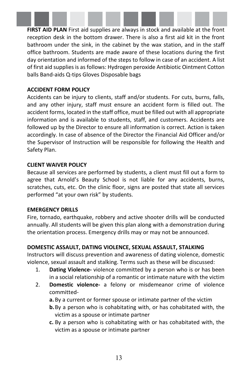**FIRST AID PLAN** First aid supplies are always in stock and available at the front reception desk in the bottom drawer. There is also a first aid kit in the front bathroom under the sink, in the cabinet by the wax station, and in the staff office bathroom. Students are made aware of these locations during the first day orientation and informed of the steps to follow in case of an accident. A list of first aid supplies is as follows: Hydrogen peroxide Antibiotic Ointment Cotton balls Band-aids Q-tips Gloves Disposable bags

#### **ACCIDENT FORM POLICY**

Accidents can be injury to clients, staff and/or students. For cuts, burns, falls, and any other injury, staff must ensure an accident form is filled out. The accident forms, located in the staff office, must be filled out with all appropriate information and is available to students, staff, and customers. Accidents are followed up by the Director to ensure all information is correct. Action is taken accordingly. In case of absence of the Director the Financial Aid Officer and/or the Supervisor of Instruction will be responsible for following the Health and Safety Plan.

#### **CLIENT WAIVER POLICY**

Because all services are performed by students, a client must fill out a form to agree that Arnold's Beauty School is not liable for any accidents, burns, scratches, cuts, etc. On the clinic floor, signs are posted that state all services performed "at your own risk" by students.

#### **EMERGENCY DRILLS**

Fire, tornado, earthquake, robbery and active shooter drills will be conducted annually. All students will be given this plan along with a demonstration during the orientation process. Emergency drills may or may not be announced.

## **DOMESTIC ASSAULT, DATING VIOLENCE, SEXUAL ASSAULT, STALKING**

Instructors will discuss prevention and awareness of dating violence, domestic violence, sexual assault and stalking. Terms such as these will be discussed:

- 1. **Dating Violence-** violence committed by a person who is or has been in a social relationship of a romantic or intimate nature with the victim
- 2. **Domestic violence-** a felony or misdemeanor crime of violence committed
	- **a.** By a current or former spouse or intimate partner of the victim
	- **b.**By a person who is cohabitating with, or has cohabitated with, the victim as a spouse or intimate partner
	- **c.** By a person who is cohabitating with or has cohabitated with, the victim as a spouse or intimate partner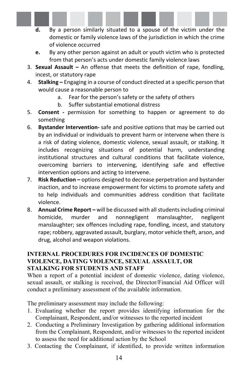- **d.** By a person similarly situated to a spouse of the victim under the domestic or family violence laws of the jurisdiction in which the crime of violence occurred
- **e.** By any other person against an adult or youth victim who is protected from that person's acts under domestic family violence laws
- 3. **Sexual Assault** An offense that meets the definition of rape, fondling, incest, or statutory rape
- 4. **Stalking** Engaging in a course of conduct directed at a specific person that would cause a reasonable person to
	- a. Fear for the person's safety or the safety of others
	- b. Suffer substantial emotional distress
- 5. **Consent** permission for something to happen or agreement to do something
- 6. **Bystander Intervention-** safe and positive options that may be carried out by an individual or individuals to prevent harm or intervene when there is a risk of dating violence, domestic violence, sexual assault, or stalking. It includes recognizing situations of potential harm, understanding institutional structures and cultural conditions that facilitate violence, overcoming barriers to intervening, identifying safe and effective intervention options and acting to intervene.
- 7. **Risk Reduction** options designed to decrease perpetration and bystander inaction, and to increase empowerment for victims to promote safety and to help individuals and communities address condition that facilitate violence.
- 8. **Annual Crime Report** will be discussed with all students including criminal homicide, murder and nonnegligent manslaughter, negligent manslaughter; sex offences including rape, fondling, incest, and statutory rape; robbery, aggravated assault, burglary, motor vehicle theft, arson, and drug, alcohol and weapon violations.

#### **INTERNAL PROCEDURES FOR INCIDENCES OF DOMESTIC VIOLENCE, DATING VIOLENCE, SEXUAL ASSAULT, OR STALKING FOR STUDENTS AND STAFF**

When a report of a potential incident of domestic violence, dating violence, sexual assault, or stalking is received, the Director/Financial Aid Officer will conduct a preliminary assessment of the available information.

The preliminary assessment may include the following:

- 1. Evaluating whether the report provides identifying information for the Complainant, Respondent, and/or witnesses to the reported incident
- 2. Conducting a Preliminary Investigation by gathering additional information from the Complainant, Respondent, and/or witnesses to the reported incident to assess the need for additional action by the School
- 3. Contacting the Complainant, if identified, to provide written information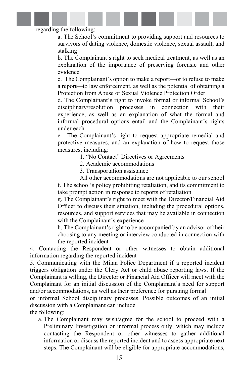regarding the following:

a. The School's commitment to providing support and resources to survivors of dating violence, domestic violence, sexual assault, and stalking

b. The Complainant's right to seek medical treatment, as well as an explanation of the importance of preserving forensic and other evidence

c. The Complainant's option to make a report—or to refuse to make a report—to law enforcement, as well as the potential of obtaining a Protection from Abuse or Sexual Violence Protection Order

d. The Complainant's right to invoke formal or informal School's disciplinary/resolution processes in connection with their experience, as well as an explanation of what the formal and informal procedural options entail and the Complainant's rights under each

e. The Complainant's right to request appropriate remedial and protective measures, and an explanation of how to request those measures, including:

- 1. "No Contact" Directives or Agreements
- 2. Academic accommodations
- 3. Transportation assistance

All other accommodations are not applicable to our school f. The school's policy prohibiting retaliation, and its commitment to take prompt action in response to reports of retaliation

g. The Complainant's right to meet with the Director/Financial Aid Officer to discuss their situation, including the procedural options, resources, and support services that may be available in connection with the Complainant's experience

h. The Complainant's right to be accompanied by an advisor of their choosing to any meeting or interview conducted in connection with the reported incident

4. Contacting the Respondent or other witnesses to obtain additional information regarding the reported incident

5. Communicating with the Milan Police Department if a reported incident triggers obligation under the Clery Act or child abuse reporting laws. If the Complainant is willing, the Director or Financial Aid Officer will meet with the Complainant for an initial discussion of the Complainant's need for support and/or accommodations, as well as their preference for pursuing formal

or informal School disciplinary processes. Possible outcomes of an initial discussion with a Complainant can include

the following:

a. The Complainant may wish/agree for the school to proceed with a Preliminary Investigation or informal process only, which may include contacting the Respondent or other witnesses to gather additional information or discuss the reported incident and to assess appropriate next steps. The Complainant will be eligible for appropriate accommodations,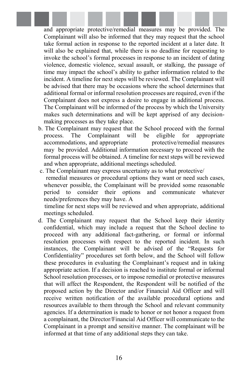and appropriate protective/remedial measures may be provided. The Complainant will also be informed that they may request that the school take formal action in response to the reported incident at a later date. It will also be explained that, while there is no deadline for requesting to invoke the school's formal processes in response to an incident of dating violence, domestic violence, sexual assault, or stalking, the passage of time may impact the school's ability to gather information related to the incident. A timeline for next steps will be reviewed. The Complainant will be advised that there may be occasions where the school determines that additional formal or informal resolution processes are required, even if the Complainant does not express a desire to engage in additional process. The Complainant will be informed of the process by which the University makes such determinations and will be kept apprised of any decisionmaking processes as they take place.

- b. The Complainant may request that the School proceed with the formal process. The Complainant will be eligible for appropriate accommodations, and appropriate protective/remedial measures may be provided. Additional information necessary to proceed with the formal process will be obtained. A timeline for next steps will be reviewed and when appropriate, additional meetings scheduled.
- c. The Complainant may express uncertainty as to what protective/ remedial measures or procedural options they want or need such cases, whenever possible, the Complainant will be provided some reasonable period to consider their options and communicate whatever needs/preferences they may have. A

timeline for next steps will be reviewed and when appropriate, additional meetings scheduled.

d. The Complainant may request that the School keep their identity confidential, which may include a request that the School decline to proceed with any additional fact-gathering, or formal or informal resolution processes with respect to the reported incident. In such instances, the Complainant will be advised of the "Requests for Confidentiality" procedures set forth below, and the School will follow these procedures in evaluating the Complainant's request and in taking appropriate action. If a decision is reached to institute formal or informal School resolution processes, or to impose remedial or protective measures that will affect the Respondent, the Respondent will be notified of the proposed action by the Director and/or Financial Aid Officer and will receive written notification of the available procedural options and resources available to them through the School and relevant community agencies. If a determination is made to honor or not honor a request from a complainant, the Director/Financial Aid Officer will communicate to the Complainant in a prompt and sensitive manner. The complainant will be informed at that time of any additional steps they can take.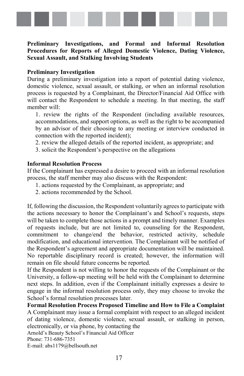

#### **Preliminary Investigations, and Formal and Informal Resolution Procedures for Reports of Alleged Domestic Violence, Dating Violence, Sexual Assault, and Stalking Involving Students**

#### **Preliminary Investigation**

During a preliminary investigation into a report of potential dating violence, domestic violence, sexual assault, or stalking, or when an informal resolution process is requested by a Complainant, the Director/Financial Aid Office with will contact the Respondent to schedule a meeting. In that meeting, the staff member will:

1. review the rights of the Respondent (including available resources, accommodations, and support options, as well as the right to be accompanied by an advisor of their choosing to any meeting or interview conducted in connection with the reported incident);

2. review the alleged details of the reported incident, as appropriate; and

3. solicit the Respondent's perspective on the allegations

#### **Informal Resolution Process**

If the Complainant has expressed a desire to proceed with an informal resolution process, the staff member may also discuss with the Respondent:

- 1. actions requested by the Complainant, as appropriate; and
- 2. actions recommended by the School.

If, following the discussion, the Respondent voluntarily agrees to participate with the actions necessary to honor the Complainant's and School's requests, steps will be taken to complete those actions in a prompt and timely manner. Examples of requests include, but are not limited to, counseling for the Respondent, commitment to change/end the behavior, restricted activity, schedule modification, and educational intervention. The Complainant will be notified of the Respondent's agreement and appropriate documentation will be maintained. No reportable disciplinary record is created; however, the information will remain on file should future concerns be reported.

If the Respondent is not willing to honor the requests of the Complainant or the University, a follow-up meeting will be held with the Complainant to determine next steps. In addition, even if the Complainant initially expresses a desire to engage in the informal resolution process only, they may choose to invoke the School's formal resolution processes later.

**Formal Resolution Process Proposed Timeline and How to File a Complaint** A Complainant may issue a formal complaint with respect to an alleged incident of dating violence, domestic violence, sexual assault, or stalking in person, electronically, or via phone, by contacting the Arnold's Beauty School's Financial Aid Officer Phone: 731-686-7351 E-mail: abs1179@bellsouth.net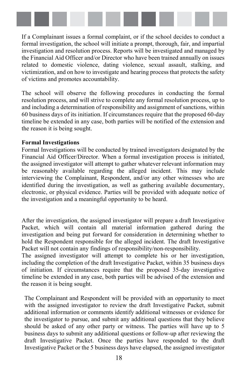

If a Complainant issues a formal complaint, or if the school decides to conduct a formal investigation, the school will initiate a prompt, thorough, fair, and impartial investigation and resolution process. Reports will be investigated and managed by the Financial Aid Officer and/or Director who have been trained annually on issues related to domestic violence, dating violence, sexual assault, stalking, and victimization, and on how to investigate and hearing process that protects the safety of victims and promotes accountability.

The school will observe the following procedures in conducting the formal resolution process, and will strive to complete any formal resolution process, up to and including a determination of responsibility and assignment of sanctions, within 60 business days of its initiation. If circumstances require that the proposed 60-day timeline be extended in any case, both parties will be notified of the extension and the reason it is being sought.

#### **Formal Investigations**

Formal Investigations will be conducted by trained investigators designated by the Financial Aid Officer/Director. When a formal investigation process is initiated, the assigned investigator will attempt to gather whatever relevant information may be reasonably available regarding the alleged incident. This may include interviewing the Complainant, Respondent, and/or any other witnesses who are identified during the investigation, as well as gathering available documentary, electronic, or physical evidence. Parties will be provided with adequate notice of the investigation and a meaningful opportunity to be heard.

After the investigation, the assigned investigator will prepare a draft Investigative Packet, which will contain all material information gathered during the investigation and being put forward for consideration in determining whether to hold the Respondent responsible for the alleged incident. The draft Investigative Packet will not contain any findings of responsibility/non-responsibility.

The assigned investigator will attempt to complete his or her investigation, including the completion of the draft Investigative Packet, within 35 business days of initiation. If circumstances require that the proposed 35-day investigative timeline be extended in any case, both parties will be advised of the extension and the reason it is being sought.

The Complainant and Respondent will be provided with an opportunity to meet with the assigned investigator to review the draft Investigative Packet, submit additional information or comments identify additional witnesses or evidence for the investigator to pursue, and submit any additional questions that they believe should be asked of any other party or witness. The parties will have up to 5 business days to submit any additional questions or follow-up after reviewing the draft Investigative Packet. Once the parties have responded to the draft Investigative Packet or the 5 business days have elapsed, the assigned investigator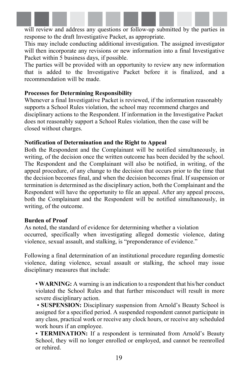will review and address any questions or follow-up submitted by the parties in response to the draft Investigative Packet, as appropriate.

This may include conducting additional investigation. The assigned investigator will then incorporate any revisions or new information into a final Investigative Packet within 5 business days, if possible.

The parties will be provided with an opportunity to review any new information that is added to the Investigative Packet before it is finalized, and a recommendation will be made.

#### **Processes for Determining Responsibility**

Whenever a final Investigative Packet is reviewed, if the information reasonably supports a School Rules violation, the school may recommend charges and disciplinary actions to the Respondent. If information in the Investigative Packet does not reasonably support a School Rules violation, then the case will be closed without charges.

#### **Notification of Determination and the Right to Appeal**

Both the Respondent and the Complainant will be notified simultaneously, in writing, of the decision once the written outcome has been decided by the school. The Respondent and the Complainant will also be notified, in writing, of the appeal procedure, of any change to the decision that occurs prior to the time that the decision becomes final, and when the decision becomes final. If suspension or termination is determined as the disciplinary action, both the Complainant and the Respondent will have the opportunity to file an appeal. After any appeal process, both the Complainant and the Respondent will be notified simultaneously, in writing, of the outcome.

#### **Burden of Proof**

As noted, the standard of evidence for determining whether a violation occurred, specifically when investigating alleged domestic violence, dating violence, sexual assault, and stalking, is "preponderance of evidence."

Following a final determination of an institutional procedure regarding domestic violence, dating violence, sexual assault or stalking, the school may issue disciplinary measures that include:

• **WARNING:** A warning is an indication to a respondent that his/her conduct violated the School Rules and that further misconduct will result in more severe disciplinary action.

• **SUSPENSION:** Disciplinary suspension from Arnold's Beauty School is assigned for a specified period. A suspended respondent cannot participate in any class, practical work or receive any clock hours, or receive any scheduled work hours if an employee.

• **TERMINATION:** If a respondent is terminated from Arnold's Beauty School, they will no longer enrolled or employed, and cannot be reenrolled or rehired.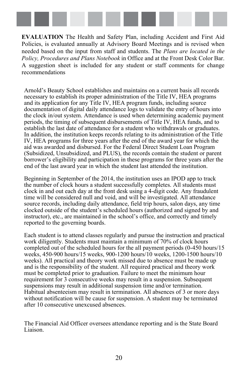

**EVALUATION** The Health and Safety Plan, including Accident and First Aid Policies, is evaluated annually at Advisory Board Meetings and is revised when needed based on the input from staff and students. The *Plans are located in the Policy, Procedures and Plans Notebook* in Office and at the Front Desk Color Bar. A suggestion sheet is included for any student or staff comments for change recommendations

Arnold's Beauty School establishes and maintains on a current basis all records necessary to establish its proper administration of the Title IV, HEA programs and its application for any Title IV, HEA program funds, including source documentation of digital daily attendance logs to validate the entry of hours into the clock in/out system. Attendance is used when determining academic payment periods, the timing of subsequent disbursements of Title IV, HEA funds, and to establish the last date of attendance for a student who withdrawals or graduates. In addition, the institution keeps records relating to its administration of the Title IV, HEA programs for three years after the end of the award year for which the aid was awarded and disbursed. For the Federal Direct Student Loan Program (Subsidized, Unsubsidized, and PLUS), the records contain the student or parent borrower's eligibility and participation in these programs for three years after the end of the last award year in which the student last attended the institution.

Beginning in September of the 2014, the institution uses an IPOD app to track the number of clock hours a student successfully completes. All students must clock in and out each day at the front desk using a 4-digit code. Any fraudulent time will be considered null and void, and will be investigated. All attendance source records, including daily attendance, field trip hours, salon days, any time clocked outside of the student's scheduled hours (authorized and signed by and instructor), etc., are maintained in the school's office, and correctly and timely reported to the governing boards.

Each student is to attend classes regularly and pursue the instruction and practical work diligently. Students must maintain a minimum of 70% of clock hours completed out of the scheduled hours for the all payment periods (0-450 hours/15 weeks, 450-900 hours/15 weeks, 900-1200 hours/10 weeks, 1200-1500 hours/10 weeks). All practical and theory work missed due to absence must be made up and is the responsibility of the student. All required practical and theory work must be completed prior to graduation. Failure to meet the minimum hour requirement for 3 consecutive weeks may result in a suspension. Subsequent suspensions may result in additional suspension time and/or termination. Habitual absenteeism may result in termination. All absences of 3 or more days without notification will be cause for suspension. A student may be terminated after 10 consecutive unexcused absences.

The Financial Aid Officer oversees attendance reporting and is the State Board Liaison.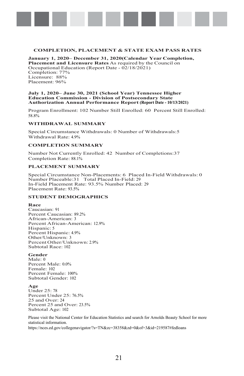#### **COMPLETION, PLACEMENT & STATE EXAM PASS RATES**

**January 1, 2020– December 31, 2020(Calendar Year Completion, Placement and Licensure Rates** As required by the Council on Occupational Education (Report Date - 02/18/2021) Completion: 77% Licensure: 88% Placement: 96%

#### **July 1, 2020– June 30, 2021 (School Year) Tennessee Higher Education Commission - Division of Postsecondary State Authorization Annual Performance Report (Report Date - 10/13/2021)**

Program Enrollment: 102 Number Still Enrolled: 60 Percent Still Enrolled: 58.8%

#### **WITHDRAWAL SUMMARY**

Special Circumstance Withdrawals: 0 Number of Withdrawals:5 Withdrawal Rate: 4.9%

#### **COMPLETION SUMMARY**

Number Not Currently Enrolled: 42 Number of Completions:37 Completion Rate: 88.1%

#### **PLACEMENT SUMMARY**

Special Circumstance Non-Placements: 6 Placed In-Field Withdrawals: 0 Number Placeable:31 Total Placed In-Field: 29 In-Field Placement Rate: 93.5% Number Placed: 29 Placement Rate: 93.5%

#### **STUDENT DEMOGRAPHICS**

#### **Race**

Caucasian: 91 Percent Caucasian: 89.2% African-American: 3 Percent African-American: 12.9% Hispanic: 5 Percent Hispanic: 4.9% Other/Unknown: 3 Percent Other/Unknown: 2.9% Subtotal Race: 102

#### **Gender**

Male: 0 Percent Male: 0.0% Female: 102 Percent Female: 100% Subtotal Gender: 102

#### **Age**

Under 25: 78 Percent Under 25: 76.5% 25 and Over: 24 Percent 25 and Over: 23.5% Subtotal Age: 102

Please visit the National Center for Education Statistics and search for Arnolds Beauty School for more statistical information.

https://nces.ed.gov/collegenavigator/?s=TN&zc=38358&zd=0&of=3&id=219587#fedloans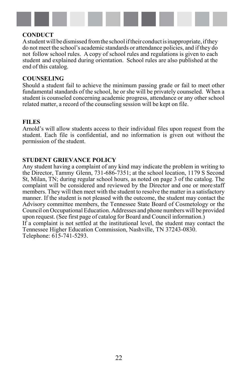

#### **CONDUCT**

A student will be dismissed from the school if their conduct is inappropriate, if they do not meet the school's academic standards or attendance policies, and if they do not follow school rules. A copy of school rules and regulations is given to each student and explained during orientation. School rules are also published at the end of this catalog.

#### <span id="page-27-0"></span>**COUNSELING**

Should a student fail to achieve the minimum passing grade or fail to meet other fundamental standards of the school, he or she will be privately counseled. When a student is counseled concerning academic progress, attendance or any other school related matter, a record of the counseling session will be kept on file.

#### **FILES**

Arnold's will allow students access to their individual files upon request from the student. Each file is confidential, and no information is given out without the permission of the student.

#### **STUDENT GRIEVANCE POLICY**

Any student having a complaint of any kind may indicate the problem in writing to the Director, Tammy Glenn, 731-686-7351; at the school location, 1179 S Second St, Milan, TN; during regular school hours, as noted on page 3 of the catalog. The complaint will be considered and reviewed by the Director and one or more staff members. They will then meet with the student to resolve the matter in a satisfactory manner. If the student is not pleased with the outcome, the student may contact the Advisory committee members, the Tennessee State Board of Cosmetology or the Council on Occupational Education. Addresses and phone numbers will be provided upon request. (See first page of catalog for Board and Council information.) If a complaint is not settled at the institutional level, the student may contact the Tennessee Higher Education Commission, Nashville, TN 37243-0830. Telephone: 615-741-5293.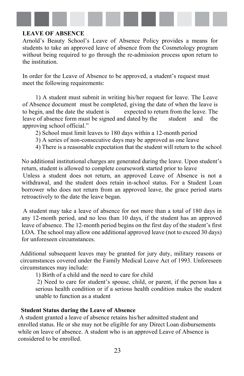<span id="page-28-0"></span>

#### **LEAVE OF ABSENCE**

Arnold's Beauty School's Leave of Absence Policy provides a means for students to take an approved leave of absence from the Cosmetology program without being required to go through the re-admission process upon return to the institution.

In order for the Leave of Absence to be approved, a student's request must meet the following requirements:

1) A student must submit in writing his/her request for leave. The Leave of Absence document must be completed, giving the date of when the leave is to begin, and the date the student is expected to return from the leave. The leave of absence form must be signed and dated by the student and the approving school official."

2) School must limit leaves to 180 days within a 12-month period

- 3) A series of non-consecutive days may be approved as one leave
- 4) There is a reasonable expectation that the student will return to the school

No additional institutional charges are generated during the leave. Upon student's return, student is allowed to complete coursework started prior to leave

Unless a student does not return, an approved Leave of Absence is not a withdrawal, and the student does retain in-school status. For a Student Loan borrower who does not return from an approved leave, the grace period starts retroactively to the date the leave began.

A student may take a leave of absence for not more than a total of 180 days in any 12-month period, and no less than 10 days, if the student has an approved leave of absence. The 12-month period begins on the first day of the student's first LOA. The school may allow one additional approved leave (not to exceed 30 days) for unforeseen circumstances.

Additional subsequent leaves may be granted for jury duty, military reasons or circumstances covered under the Family Medical Leave Act of 1993. Unforeseen circumstances may include:

1) Birth of a child and the need to care for child

2) Need to care for student's spouse, child, or parent, if the person has a serious health condition or if a serious health condition makes the student unable to function as a student

#### **Student Status during the Leave of Absence**

A student granted a leave of absence retains his/her admitted student and enrolled status. He or she may not be eligible for any Direct Loan disbursements while on leave of absence. A student who is an approved Leave of Absence is considered to be enrolled.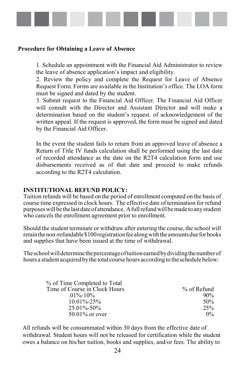

#### **Procedure for Obtaining a Leave of Absence**

1. Schedule an appointment with the Financial Aid Administrator to review the leave of absence application's impact and eligibility.

2. Review the policy and complete the Request for Leave of Absence Request Form. Forms are available in the Institution's office. The LOA form must be signed and dated by the student.

3. Submit request to the Financial Aid Officer. The Financial Aid Officer will consult with the Director and Assistant Director and will make a determination based on the student's request. of acknowledgement of the written appeal. If the request is approved, the form must be signed and dated by the Financial Aid Officer.

In the event the student fails to return from an approved leave of absence a Return of Title IV funds calculation shall be performed using the last date of recorded attendance as the date on the R2T4 calculation form and use disbursements received as of that date and proceed to make refunds according to the R2T4 calculation.

#### **INSTITUTIONAL REFUND POLICY:**

<span id="page-29-0"></span>Tuition refunds will be based on the period of enrollment computed on the basis of course time expressed in clock hours. The effective date of termination for refund purposes will be the last date of attendance. A full refund will be made to any student who cancels the enrollment agreement prior to enrollment.

Should the student terminate or withdraw after entering the course, the school will retain the non-refundable \$100 registration fee along with the amounts due for books and supplies that have been issued at the time of withdrawal.

Theschoolwilldeterminethepercentageoftuitionearnedbydividingthenumberof hours a student acquired bythe total course hours according to the schedule below:

| % of Time Completed to Total  |             |
|-------------------------------|-------------|
| Time of Course in Clock Hours | % of Refund |
| $.01\% - 10\%$                | 90%         |
| $10.01\% - 25\%$              | 50%         |
| $25.01\% - 50\%$              | 25%         |
| $50.01\%$ or over             | $0\%$       |

All refunds will be consummated within 30 days from the effective date of withdrawal. Student hours will not be released for certification while the student owes a balance on his/her tuition, books and supplies, and/or fees. The ability to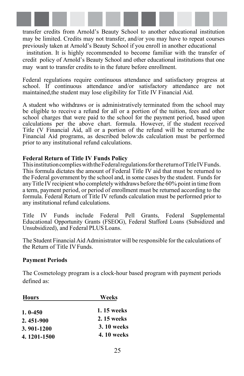

transfer credits from Arnold's Beauty School to another educational institution may be limited. Credits may not transfer, and/or you may have to repeat courses previously taken at Arnold's Beauty School if you enroll in another educational

institution. It is highly recommended to become familiar with the transfer of credit policy of Arnold's Beauty School and other educational institutions that one may want to transfer credits to in the future before enrollment.

Federal regulations require continuous attendance and satisfactory progress at school. If continuous attendance and/or satisfactory attendance are not maintained,the student may lose eligibility for Title IV Financial Aid.

A student who withdraws or is administratively terminated from the school may be eligible to receive a refund for all or a portion of the tuition, fees and other school charges that were paid to the school for the payment period, based upon calculations per the above chart. formula. However, if the student received Title (V Financial Aid, all or a portion of the refund will be returned to the Financial Aid programs, as described below:ds calculation must be performed prior to any institutional refund calculations.

#### **Federal Return of Title IV Funds Policy**

ThisinstitutioncomplieswiththeFederalregulationsforthereturnofTitleIVFunds. This formula dictates the amount of Federal Title IV aid that must be returned to the Federal government by the school and, in some cases by the student. Funds for anyTitle IV recipient who completelywithdraws before the 60% point in time from a term, payment period, or period of enrollment must be returned according to the formula. Federal Return of Title IV refunds calculation must be performed prior to any institutional refund calculations.

Title IV Funds include Federal Pell Grants, Federal Supplemental Educational Opportunity Grants (FSEOG), Federal Stafford Loans (Subsidized and Unsubsidized), and Federal PLUS Loans.

The Student Financial Aid Administrator will be responsible for the calculations of the Return of Title IVFunds.

#### **Payment Periods**

The Cosmetology program is a clock-hour based program with payment periods defined as:

| <b>Hours</b> | Weeks             |  |
|--------------|-------------------|--|
| $1.0 - 450$  | 1.15 weeks        |  |
| 2.451-900    | 2.15 weeks        |  |
| 3.901-1200   | <b>3.10 weeks</b> |  |
| 4.1201-1500  | <b>4.10 weeks</b> |  |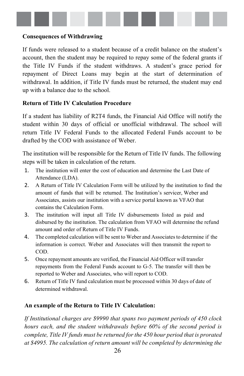

#### **Consequences of Withdrawing**

If funds were released to a student because of a credit balance on the student's account, then the student may be required to repay some of the federal grants if the Title IV Funds if the student withdraws. A student's grace period for repayment of Direct Loans may begin at the start of determination of withdrawal. In addition, if Title IV funds must be returned, the student may end up with a balance due to the school.

#### **Return of Title IV Calculation Procedure**

If a student has liability of R2T4 funds, the Financial Aid Office will notify the student within 30 days of official or unofficial withdrawal. The school will return Title IV Federal Funds to the allocated Federal Funds account to be drafted by the COD with assistance of Weber.

The institution will be responsible for the Return of Title IV funds. The following steps will be taken in calculation of the return.

- 1. The institution will enter the cost of education and determine the Last Date of Attendance (LDA).
- 2. A Return of Title IV Calculation Form will be utilized by the institution to find the amount of funds that will be returned. The Institution's servicer, Weber and Associates, assists our institution with a service portal known as VFAO that contains the Calculation Form.
- 3. The institution will input all Title IV disbursements listed as paid and disbursed by the institution. The calculation from VFAO will determine the refund amount and order of Return of Title IV Funds.
- 4. The completed calculation will be sent to Weber and Associatesto determine if the information is correct. Weber and Associates will then transmit the report to COD.
- 5. Once repayment amounts are verified, the Financial Aid Officer will transfer repayments from the Federal Funds account to G-5. The transfer will then be reported to Weber and Associates, who will report to COD.
- 6. Return of Title IV fund calculation must be processed within 30 days of date of determined withdrawal.

#### **An example of the Return to Title IV Calculation:**

*If Institutional charges are \$9990 that spans two payment periods of 450 clock hours each, and the student withdrawals before 60% of the second period is complete, Title IV funds must be returned for the 450 hour period that is prorated at \$4995. The calculation of return amount will be completed by determining the*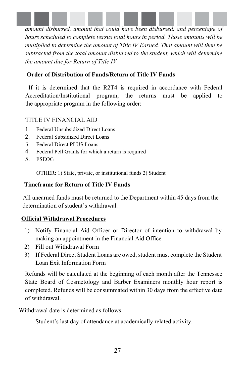

*amount disbursed, amount that could have been disbursed, and percentage of hours scheduled to complete versus total hours in period. Those amounts will be multiplied to determine the amount of Title IV Earned. That amount will then be subtracted from the total amount disbursed to the student, which will determine the amount due for Return of Title IV.* 

### **Order of Distribution of Funds/Return of Title IV Funds**

If it is determined that the R2T4 is required in accordance with Federal Accreditation/Institutional program, the returns must be applied to the appropriate program in the following order:

### TITLE IV FINANCIAL AID

- 1. Federal Unsubsidized Direct Loans
- 2. Federal Subsidized Direct Loans
- 3. Federal Direct PLUS Loans
- 4. Federal Pell Grants for which a return is required
- 5. FSEOG

OTHER: 1) State, private, or institutional funds 2) Student

### **Timeframe for Return of Title IV Funds**

All unearned funds must be returned to the Department within 45 days from the determination of student's withdrawal.

## **Official Withdrawal Procedures**

- 1) Notify Financial Aid Officer or Director of intention to withdrawal by making an appointment in the Financial Aid Office
- 2) Fill out Withdrawal Form
- 3) If Federal Direct Student Loans are owed, student must complete the Student Loan Exit Information Form

Refunds will be calculated at the beginning of each month after the Tennessee State Board of Cosmetology and Barber Examiners monthly hour report is completed. Refunds will be consummated within 30 days from the effective date of withdrawal.

Withdrawal date is determined as follows:

Student's last day of attendance at academically related activity.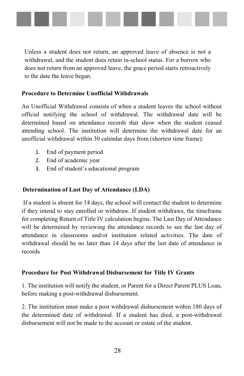

Unless a student does not return, an approved leave of absence is not a withdrawal, and the student does retain in-school status. For a borrow who does not return from an approved leave, the grace period starts retroactively to the date the leave began.

### **Procedure to Determine Unofficial Withdrawals**

An Unofficial Withdrawal consists of when a student leaves the school without official notifying the school of withdrawal. The withdrawal date will be determined based on attendance records that show when the student ceased attending school. The institution will determine the withdrawal date for an unofficial withdrawal within 30 calendar days from (shortest time frame):

- 1. End of payment period
- 2. End of academic year
- 3. End of student's educational program

#### **Determination of Last Day of Attendance (LDA)**

If a student is absent for 14 days, the school will contact the student to determine if they intend to stay enrolled or withdraw. If student withdraws, the timeframe for completing Return of Title IV calculation begins. The Last Day of Attendance will be determined by reviewing the attendance records to see the last day of attendance in classrooms and/or institution related activities. The date of withdrawal should be no later than 14 days after the last date of attendance in records

#### **Procedure for Post Withdrawal Disbursement for Title IV Grants**

1. The institution will notify the student, or Parent for a Direct Parent PLUS Loan, before making a post-withdrawal disbursement.

2. The institution must make a post withdrawal disbursement within 180 days of the determined date of withdrawal. If a student has died, a post-withdrawal disbursement will not be made to the account or estate of the student.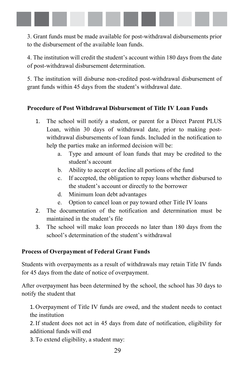

3. Grant funds must be made available for post-withdrawal disbursements prior to the disbursement of the available loan funds.

4. The institution will credit the student's account within 180 days from the date of post-withdrawal disbursement determination.

5. The institution will disburse non-credited post-withdrawal disbursement of grant funds within 45 days from the student's withdrawal date.

## **Procedure of Post Withdrawal Disbursement of Title IV Loan Funds**

- 1. The school will notify a student, or parent for a Direct Parent PLUS Loan, within 30 days of withdrawal date, prior to making postwithdrawal disbursements of loan funds. Included in the notification to help the parties make an informed decision will be:
	- a. Type and amount of loan funds that may be credited to the student's account
	- b. Ability to accept or decline all portions of the fund
	- c. If accepted, the obligation to repay loans whether disbursed to the student's account or directly to the borrower
	- d. Minimum loan debt advantages
	- e. Option to cancel loan or pay toward other Title IV loans
- 2. The documentation of the notification and determination must be maintained in the student's file
- 3. The school will make loan proceeds no later than 180 days from the school's determination of the student's withdrawal

## **Process of Overpayment of Federal Grant Funds**

Students with overpayments as a result of withdrawals may retain Title IV funds for 45 days from the date of notice of overpayment.

After overpayment has been determined by the school, the school has 30 days to notify the student that

1. Overpayment of Title IV funds are owed, and the student needs to contact the institution

2.If student does not act in 45 days from date of notification, eligibility for additional funds will end

3.To extend eligibility, a student may: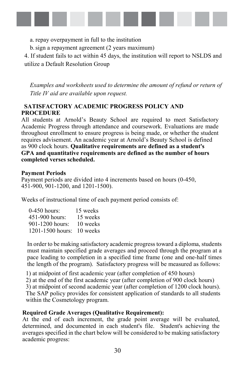

- a. repay overpayment in full to the institution
- b.sign a repayment agreement (2 years maximum)

4. If student fails to act within 45 days, the institution will report to NSLDS and utilize a Default Resolution Group

*Examples and worksheets used to determine the amount of refund or return of Title IV aid are available upon request.* 

### **SATISFACTORY ACADEMIC PROGRESS POLICY AND PROCEDURE**

All students at Arnold's Beauty School are required to meet Satisfactory Academic Progress through attendance and coursework. Evaluations are made throughout enrollment to ensure progress is being made, or whether the student requires advisement. An academic year at Arnold's Beauty School is defined as 900 clock hours. **Qualitative requirements are defined as a student's GPA and quantitative requirements are defined as the number of hours completed verses scheduled.** 

#### **Payment Periods**

Payment periods are divided into 4 increments based on hours (0-450, 451-900, 901-1200, and 1201-1500).

Weeks of instructional time of each payment period consists of:

| $0-450$ hours:      | 15 weeks |
|---------------------|----------|
| 451-900 hours:      | 15 weeks |
| $901 - 1200$ hours: | 10 weeks |
| 1201-1500 hours:    | 10 weeks |

In order to be making satisfactory academic progress toward a diploma, students must maintain specified grade averages and proceed through the program at a pace leading to completion in a specified time frame (one and one-half times the length of the program). Satisfactory progress will be measured as follows:

1) at midpoint of first academic year (after completion of 450 hours)

2) at the end of the first academic year (after completion of 900 clock hours)

3) at midpoint of second academic year (after completion of 1200 clock hours).

The SAP policy provides for consistent application of standards to all students within the Cosmetology program.

#### **Required Grade Averages (Qualitative Requirement):**

At the end of each increment, the grade point average will be evaluated, determined, and documented in each student's file. Student's achieving the averages specified in the chart below will be considered to be making satisfactory academic progress: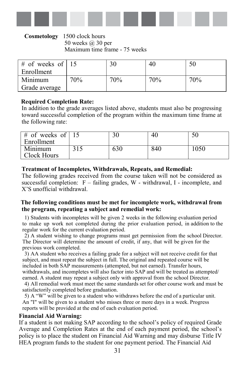

#### **Cosmetology** 1500 clock hours 50 weeks @ 30 per Maximum time frame - 75 weeks

| # of weeks of $\vert$ 15 |     |     | 40  |     |
|--------------------------|-----|-----|-----|-----|
| Enrollment               |     |     |     |     |
| Minimum                  | 70% | 70% | 70% | 70% |
| Grade average            |     |     |     |     |

#### **Required Completion Rate:**

In addition to the grade averages listed above, students must also be progressing toward successful completion of the program within the maximum time frame at the following rate:

| $\frac{4}{5}$ of weeks of 15<br>Enrollment |     | -46 |      |
|--------------------------------------------|-----|-----|------|
| Minimum<br><b>Clock Hours</b>              | 630 | 840 | 1050 |

#### **Treatment of Incompletes, Withdrawals, Repeats, and Remedial:**

The following grades received from the course taken will not be considered as successful completion:  $F - \text{failing grades, W - withdrawal, I - incomplete, and}$ X'S unofficial withdrawal.

#### **The following conditions must be met for incomplete work, withdrawal from the program, repeating a subject and remedial work:**

1) Students with incompletes will be given 2 weeks in the following evaluation period to make up work not completed during the prior evaluation period, in addition to the regular work for the current evaluation period.

2) A student wishing to change programs must get permission from the school Director. The Director will determine the amount of credit, if any, that will be given for the previous work completed.

3) AA student who receives a failing grade for a subject will not receive credit for that subject, and must repeat the subject in full. The original and repeated course will be included in both SAP measurements (attempted, but not earned). Transfer hours, withdrawals, and incompletes will also factor into SAP and will be treated as attempted/ earned. A student may repeat a subject only with approval from the school Director.

4) All remedial work must meet the same standards set for other course work and must be satisfactorily completed before graduation.

5) A "W" will be given to a student who withdraws before the end of a particular unit. An "I" will be given to a student who misses three or more days in a week. Progress reports will be provided at the end of each evaluation period.

#### **Financial Aid Warning:**

If a student is not making SAP according to the school's policy of required Grade Average and Completion Rates at the end of each payment period, the school's policy is to place the student on Financial Aid Warning and may disburse Title IV HEA program funds to the student for one payment period. The Financial Aid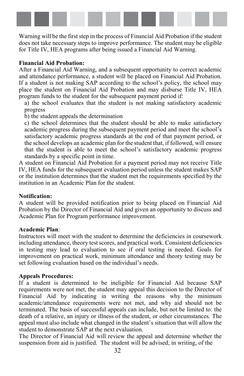

Warning will be the first step in the process of Financial Aid Probation if the student does not take necessary steps to improve performance. The student may be eligible for Title IV, HEA programs after being issued a Financial Aid Warning.

#### **Financial Aid Probation:**

After a Financial Aid Warning, and a subsequent opportunity to correct academic and attendance performance, a student will be placed on Financial Aid Probation. If a student is not making SAP according to the school's policy, the school may place the student on Financial Aid Probation and may disburse Title IV, HEA program funds to the student for the subsequent payment period if:

a) the school evaluates that the student is not making satisfactory academic progress

b) the student appeals the determination

c) the school determines that the student should be able to make satisfactory academic progress during the subsequent payment period and meet the school's satisfactory academic progress standards at the end of that payment period, or the school develops an academic plan for the student that, if followed, will ensure that the student is able to meet the school's satisfactory academic progress standards by a specific point in time.

A student on Financial Aid Probation for a payment period may not receive Title IV, HEA funds for the subsequent evaluation period unless the student makes SAP or the institution determines that the student met the requirements specified by the institution in an Academic Plan for the student.

#### **Notification:**

A student will be provided notification prior to being placed on Financial Aid Probation by the Director of Financial Aid and given an opportunity to discuss and Academic Plan for Program performance improvement.

#### **Academic Plan**:

Instructors will meet with the student to determine the deficiencies in coursework including attendance, theory test scores, and practical work. Consistent deficiencies in testing may lead to evaluation to see if oral testing is needed. Goals for improvement on practical work, minimum attendance and theory testing may be set following evaluation based on the individual's needs.

#### **Appeals Procedures:**

If a student is determined to be ineligible for Financial Aid because SAP requirements were not met, the student may appeal this decision to the Director of Financial Aid by indicating in writing the reasons why the minimum academic/attendance requirements were not met, and why aid should not be terminated. The basis of successful appeals can include, but not be limited to: the death of a relative, an injury or illness of the student, or other circumstances. The appeal must also include what changed in the student's situation that will allow the student to demonstrate SAP at the next evaluation.

The Director of Financial Aid will review the appeal and determine whether the suspension from aid is justified. The student will be advised, in writing, of the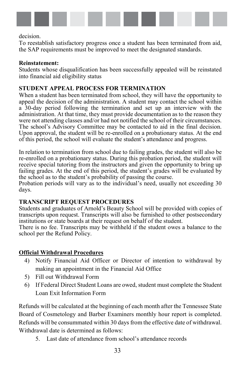

decision.

To reestablish satisfactory progress once a student has been terminated from aid, the SAP requirements must be improved to meet the designated standards.

#### **Reinstatement:**

Students whose disqualification has been successfully appealed will be reinstated into financial aid eligibility status

#### **STUDENT APPEAL PROCESS FOR TERMINATION**

When a student has been terminated from school, they will have the opportunity to appeal the decision of the administration. A student may contact the school within a 30-day period following the termination and set up an interview with the administration. At that time, they must provide documentation as to the reason they were not attending classes and/or had not notified the school of their circumstances. The school's Advisory Committee may be contacted to aid in the final decision. Upon approval, the student will be re-enrolled on a probationary status. At the end of this period, the school will evaluate the student's attendance and progress.

In relation to termination from school due to failing grades, the student will also be re-enrolled on a probationary status. During this probation period, the student will receive special tutoring from the instructors and given the opportunity to bring up failing grades. At the end of this period, the student's grades will be evaluated by the school as to the student's probability of passing the course.

Probation periods will vary as to the individual's need, usually not exceeding 30 days.

## **TRANSCRIPT REQUEST PROCEDURES**

Students and graduates of Arnold's Beauty School will be provided with copies of transcripts upon request. Transcripts will also be furnished to other postsecondary institutions or state boards at their request on behalf of the student.

There is no fee. Transcripts may be withheld if the student owes a balance to the school per the Refund Policy.

## **Official Withdrawal Procedures**

- 4) Notify Financial Aid Officer or Director of intention to withdrawal by making an appointment in the Financial Aid Office
- 5) Fill out Withdrawal Form
- 6) If Federal Direct Student Loans are owed, student must complete the Student Loan Exit Information Form

Refunds will be calculated at the beginning of each month after the Tennessee State Board of Cosmetology and Barber Examiners monthly hour report is completed. Refunds will be consummated within 30 days from the effective date of withdrawal. Withdrawal date is determined as follows:

5. Last date of attendance from school's attendance records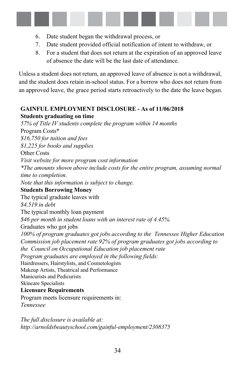

- 6. Date student began the withdrawal process, or
- 7. Date student provided official notification of intent to withdraw, or
- 8. For a student that does not return at the expiration of an approved leave of absence the date will be the last date of attendance.

Unless a student does not return, an approved leave of absence is not a withdrawal, and the student does retain in-school status. For a borrow who does not return from an approved leave, the grace period starts retroactively to the date the leave began.

## **GAINFUL EMPLOYMENT DISCLOSURE - As of 11/06/2018 Students graduating on time**

*57% of Title IV students complete the program within 14 months*  Program Costs\* *\$16,750 for tuition and fees \$1,225 for books and supplies* Other Costs *Visit website for more program cost information \*The amounts shown above include costs for the entire program, assuming normal time to completion. Note that this information is subject to change.* **Students Borrowing Money** The typical graduate leaves with *\$4,519 in debt* The typical monthly loan payment *\$46 per month in student loans with an interest rate of 4.45%.* Graduates who got jobs *100% of program graduates got jobs according to the Tennessee Higher Education Commission job placement rate 92% of program graduates got jobs according to the Council on Occupational Education job placement rate Program graduates are employed in the following fields:* Hairdressers, Hairstylists, and Cosmetologists Makeup Artists, Theatrical and Performance Manicurists and Pedicurists Skincare Specialists **Licensure Requirements** Program meets licensure requirements in: *Tennessee*

*The full disclosure is available at: http://arnoldsbeautyschool.com/gainful-employment/2308375*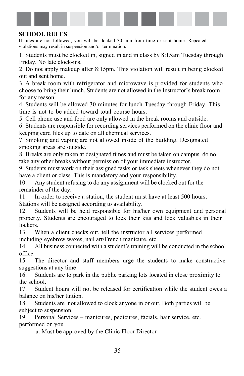

#### **SCHOOL RULES**

If rules are not followed, you will be docked 30 min from time or sent home. Repeated violations may result in suspension and/or termination.

1. Students must be clocked in, signed in and in class by 8:15am Tuesday through Friday. No late clock-ins.

2. Do not apply makeup after 8:15pm. This violation will result in being clocked out and sent home.

3. A break room with refrigerator and microwave is provided for students who choose to bring their lunch. Students are not allowed in the Instructor's break room for any reason.

4. Students will be allowed 30 minutes for lunch Tuesday through Friday. This time is not to be added toward total course hours.

5. Cell phone use and food are only allowed in the break rooms and outside.

6. Students are responsible for recording services performed on the clinic floor and keeping card files up to date on all chemical services.

7. Smoking and vaping are not allowed inside of the building. Designated smoking areas are outside.

8. Breaks are only taken at designated times and must be taken on campus. do no take any other breaks without permission of your immediate instructor.

9. Students must work on their assigned tasks or task sheets whenever they do not have a client or class. This is mandatory and your responsibility.

10. Any student refusing to do any assignment will be clocked out for the remainder of the day.

11. In order to receive a station, the student must have at least 500 hours. Stations will be assigned according to availability.

12. Students will be held responsible for his/her own equipment and personal property. Students are encouraged to lock their kits and lock valuables in their lockers.

13. When a client checks out, tell the instructor all services performed including eyebrow waxes, nail art/French manicure, etc.

14. All business connected with a student's training will be conducted in the school office.

15. The director and staff members urge the students to make constructive suggestions at any time

16. Students are to park in the public parking lots located in close proximity to the school.

17. Student hours will not be released for certification while the student owes a balance on his/her tuition.

18. Students are not allowed to clock anyone in or out. Both parties will be subject to suspension.

19. Personal Services – manicures, pedicures, facials, hair service, etc. performed on you

a. Must be approved by the Clinic Floor Director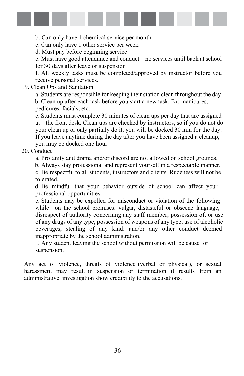

b. Can only have 1 chemical service per month

c. Can only have 1 other service per week

d. Must pay before beginning service

e. Must have good attendance and conduct – no services until back at school for 30 days after leave or suspension

f. All weekly tasks must be completed/approved by instructor before you receive personal services.

#### 19. Clean Ups and Sanitation

a. Students are responsible for keeping their station clean throughout the day b. Clean up after each task before you start a new task. Ex: manicures, pedicures, facials, etc.

c. Students must complete 30 minutes of clean ups per day that are assigned at the front desk. Clean ups are checked by instructors, so if you do not do your clean up or only partially do it, you will be docked 30 min for the day. If you leave anytime during the day after you have been assigned a cleanup, you may be docked one hour.

### 20. Conduct

a. Profanity and drama and/or discord are not allowed on school grounds.

b. Always stay professional and represent yourself in a respectable manner. c. Be respectful to all students, instructors and clients. Rudeness will not be

tolerated.

d. Be mindful that your behavior outside of school can affect your professional opportunities.

e. Students may be expelled for misconduct or violation of the following while on the school premises: vulgar, distasteful or obscene language; disrespect of authority concerning any staff member; possession of, or use of any drugs of any type; possession of weapons of any type; use of alcoholic beverages; stealing of any kind: and/or any other conduct deemed inappropriate by the school administration.

f. Any student leaving the school without permission will be cause for suspension.

Any act of violence, threats of violence (verbal or physical), or sexual harassment may result in suspension or termination if results from an administrative investigation show credibility to the accusations.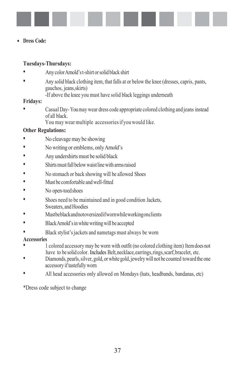

#### • **Dress Code:**

#### **Tuesdays-Thursdays:**

- AnycolorArnold'st-shirt orsolid black shirt
- Any solid black clothing item, that falls at or below the knee (dresses, capris, pants, gauchos, jeans,skirts)
	- -If above the knee you must have solid black leggings underneath

#### **Fridays:**

- Casual Day- Youmay wear dress code appropriate colored clothing and jeans instead of all black.
	- You may wear multiple accessoriesif you would like.

### **Other Regulations:**

- No cleavage may be showing
- No writing or emblems, only Arnold's
- Any undershirts must be solid black
- Shirts must fall below waist line with arms raised
- No stomach or back showing will be allowed Shoes
- Must be comfortable and well-fitted
- No open-toed shoes
- Shoes need to be maintained and in good condition Jackets, Sweaters, and Hoodies
- Mustbeblackandnotoversizedifwornwhileworkingonclients
- BlackArnold'sinwhitewritingwill be accepted
- Black stylist's jackets and nametags must always be worn

#### **Accessories**

- 1 colored accessory may be worn with outfit (no colored clothing item) Itemdoes not have to be solid color. Includes Belt, necklace, earrings, rings, scarf, bracelet, etc.
- Diamonds, pearls, silver, gold, or white gold, jewelry will not be counted toward the one accessory iftastefully worn
- All head accessories only allowed on Mondays (hats, headbands, bandanas, etc)

\*Dress code subject to change